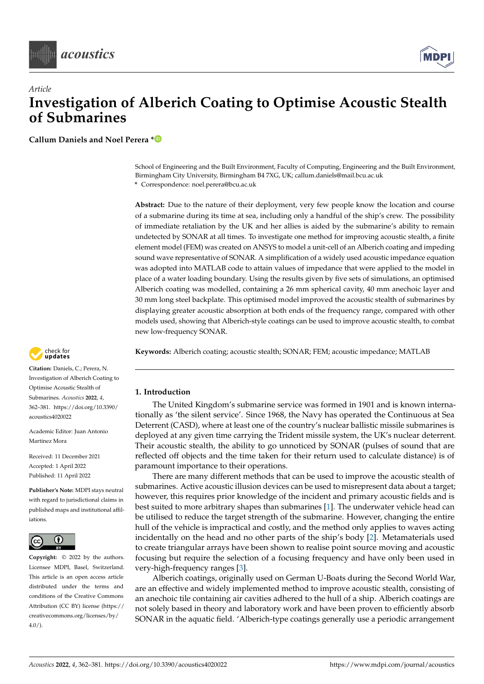



**Callum Daniels and Noel Perera [\\*](https://orcid.org/0000-0002-0308-9747)**

School of Engineering and the Built Environment, Faculty of Computing, Engineering and the Built Environment, Birmingham City University, Birmingham B4 7XG, UK; callum.daniels@mail.bcu.ac.uk **\*** Correspondence: noel.perera@bcu.ac.uk

**Abstract:** Due to the nature of their deployment, very few people know the location and course of a submarine during its time at sea, including only a handful of the ship's crew. The possibility of immediate retaliation by the UK and her allies is aided by the submarine's ability to remain undetected by SONAR at all times. To investigate one method for improving acoustic stealth, a finite element model (FEM) was created on ANSYS to model a unit-cell of an Alberich coating and impeding sound wave representative of SONAR. A simplification of a widely used acoustic impedance equation was adopted into MATLAB code to attain values of impedance that were applied to the model in place of a water loading boundary. Using the results given by five sets of simulations, an optimised Alberich coating was modelled, containing a 26 mm spherical cavity, 40 mm anechoic layer and 30 mm long steel backplate. This optimised model improved the acoustic stealth of submarines by displaying greater acoustic absorption at both ends of the frequency range, compared with other models used, showing that Alberich-style coatings can be used to improve acoustic stealth, to combat new low-frequency SONAR.

**Keywords:** Alberich coating; acoustic stealth; SONAR; FEM; acoustic impedance; MATLAB

## **1. Introduction**

The United Kingdom's submarine service was formed in 1901 and is known internationally as 'the silent service'. Since 1968, the Navy has operated the Continuous at Sea Deterrent (CASD), where at least one of the country's nuclear ballistic missile submarines is deployed at any given time carrying the Trident missile system, the UK's nuclear deterrent. Their acoustic stealth, the ability to go unnoticed by SONAR (pulses of sound that are reflected off objects and the time taken for their return used to calculate distance) is of paramount importance to their operations.

There are many different methods that can be used to improve the acoustic stealth of submarines. Active acoustic illusion devices can be used to misrepresent data about a target; however, this requires prior knowledge of the incident and primary acoustic fields and is best suited to more arbitrary shapes than submarines [\[1\]](#page-19-0). The underwater vehicle head can be utilised to reduce the target strength of the submarine. However, changing the entire hull of the vehicle is impractical and costly, and the method only applies to waves acting incidentally on the head and no other parts of the ship's body [\[2\]](#page-19-1). Metamaterials used to create triangular arrays have been shown to realise point source moving and acoustic focusing but require the selection of a focusing frequency and have only been used in very-high-frequency ranges [\[3\]](#page-19-2).

Alberich coatings, originally used on German U-Boats during the Second World War, are an effective and widely implemented method to improve acoustic stealth, consisting of an anechoic tile containing air cavities adhered to the hull of a ship. Alberich coatings are not solely based in theory and laboratory work and have been proven to efficiently absorb SONAR in the aquatic field. 'Alberich-type coatings generally use a periodic arrangement



**Citation:** Daniels, C.; Perera, N. Investigation of Alberich Coating to Optimise Acoustic Stealth of Submarines. *Acoustics* **2022**, *4*, 362–381. [https://doi.org/10.3390/](https://doi.org/10.3390/acoustics4020022) [acoustics4020022](https://doi.org/10.3390/acoustics4020022)

Academic Editor: Juan Antonio Martínez Mora

Received: 11 December 2021 Accepted: 1 April 2022 Published: 11 April 2022

**Publisher's Note:** MDPI stays neutral with regard to jurisdictional claims in published maps and institutional affiliations.



4.0/). *[acoustics](https://www.mdpi.com/journal/acoustics)* **Copyright:** © 2022 by the authors. Licensee MDPI, Basel, Switzerland. This article is an open access article distributed under the terms and conditions of the Creative Commons Attribution (CC BY) license [\(https://](https://creativecommons.org/licenses/by/4.0/) [creativecommons.org/licenses/by/](https://creativecommons.org/licenses/by/4.0/)  $4.0/$ ).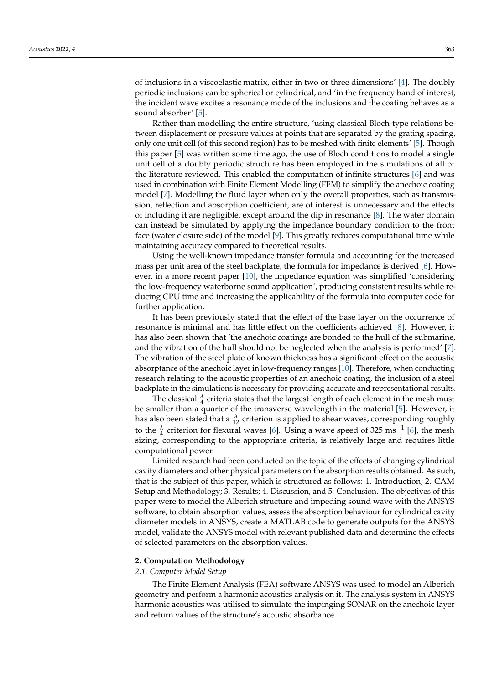of inclusions in a viscoelastic matrix, either in two or three dimensions' [\[4\]](#page-19-3). The doubly periodic inclusions can be spherical or cylindrical, and 'in the frequency band of interest, the incident wave excites a resonance mode of the inclusions and the coating behaves as a sound absorber' [\[5\]](#page-19-4).

Rather than modelling the entire structure, 'using classical Bloch-type relations between displacement or pressure values at points that are separated by the grating spacing, only one unit cell (of this second region) has to be meshed with finite elements' [\[5\]](#page-19-4). Though this paper [\[5\]](#page-19-4) was written some time ago, the use of Bloch conditions to model a single unit cell of a doubly periodic structure has been employed in the simulations of all of the literature reviewed. This enabled the computation of infinite structures [\[6\]](#page-19-5) and was used in combination with Finite Element Modelling (FEM) to simplify the anechoic coating model [\[7\]](#page-19-6). Modelling the fluid layer when only the overall properties, such as transmission, reflection and absorption coefficient, are of interest is unnecessary and the effects of including it are negligible, except around the dip in resonance [\[8\]](#page-19-7). The water domain can instead be simulated by applying the impedance boundary condition to the front face (water closure side) of the model [\[9\]](#page-19-8). This greatly reduces computational time while maintaining accuracy compared to theoretical results.

Using the well-known impedance transfer formula and accounting for the increased mass per unit area of the steel backplate, the formula for impedance is derived [\[6\]](#page-19-5). However, in a more recent paper [\[10\]](#page-19-9), the impedance equation was simplified 'considering the low-frequency waterborne sound application', producing consistent results while reducing CPU time and increasing the applicability of the formula into computer code for further application.

It has been previously stated that the effect of the base layer on the occurrence of resonance is minimal and has little effect on the coefficients achieved [\[8\]](#page-19-7). However, it has also been shown that 'the anechoic coatings are bonded to the hull of the submarine, and the vibration of the hull should not be neglected when the analysis is performed' [\[7\]](#page-19-6). The vibration of the steel plate of known thickness has a significant effect on the acoustic absorptance of the anechoic layer in low-frequency ranges [\[10\]](#page-19-9). Therefore, when conducting research relating to the acoustic properties of an anechoic coating, the inclusion of a steel backplate in the simulations is necessary for providing accurate and representational results.

The classical  $\frac{\lambda}{4}$  criteria states that the largest length of each element in the mesh must be smaller than a quarter of the transverse wavelength in the material [\[5\]](#page-19-4). However, it has also been stated that a  $\frac{\lambda}{12}$  criterion is applied to shear waves, corresponding roughly to the  $\frac{\lambda}{4}$  criterion for flexural waves [\[6\]](#page-19-5). Using a wave speed of 325 ms<sup>-1</sup> [6], the mesh sizing, corresponding to the appropriate criteria, is relatively large and requires little computational power.

Limited research had been conducted on the topic of the effects of changing cylindrical cavity diameters and other physical parameters on the absorption results obtained. As such, that is the subject of this paper, which is structured as follows: 1. Introduction; 2. CAM Setup and Methodology; 3. Results; 4. Discussion, and 5. Conclusion. The objectives of this paper were to model the Alberich structure and impeding sound wave with the ANSYS software, to obtain absorption values, assess the absorption behaviour for cylindrical cavity diameter models in ANSYS, create a MATLAB code to generate outputs for the ANSYS model, validate the ANSYS model with relevant published data and determine the effects of selected parameters on the absorption values.

### **2. Computation Methodology**

### *2.1. Computer Model Setup*

The Finite Element Analysis (FEA) software ANSYS was used to model an Alberich geometry and perform a harmonic acoustics analysis on it. The analysis system in ANSYS harmonic acoustics was utilised to simulate the impinging SONAR on the anechoic layer and return values of the structure's acoustic absorbance.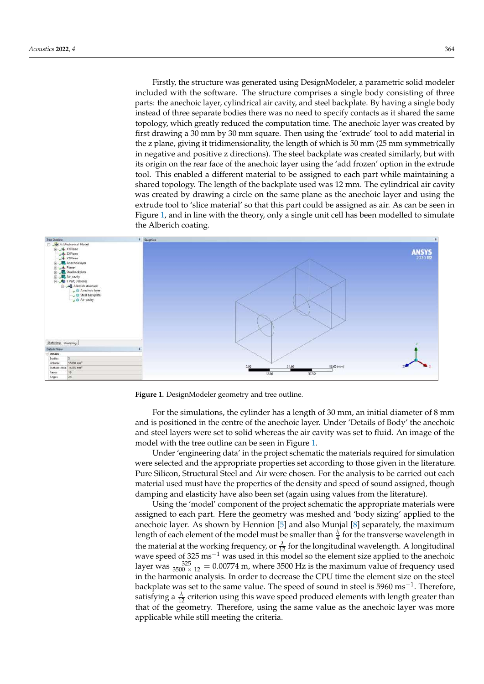Firstly, the structure was generated using DesignModeler, a parametric solid modeler included with the software. The structure comprises a single body consisting of three parts: the anechoic layer, cylindrical air cavity, and steel backplate. By having a single body instead of three separate bodies there was no need to specify contacts as it shared the same topology, which greatly reduced the computation time. The anechoic layer was created by<br>Created by first drawing a 30 mm by 30 mm square. Then using the 'extrude' tool to add material in first drawing a 30 mm by 30 mm square. Then using the 'extrude' tool to add material in the z plane, giving it tridimensionality, the length of which is 50 mm (25 mm symmetrically  $\frac{1}{2}$  plane, giving a trainerisionality, are reignt of which is so him (25 him symmetrically in negative and positive z directions). The steel backplate was created similarly, but with its origin on the rear face of the anechoic layer using the 'add frozen' option in the extrude tool. This enabled a different material to be assigned to each part while maintaining a not the charge a shared of the backplate used was 12 mm. The cylindrical air cavity shared topology. The length of the backplate used was 12 mm. The cylindrical air cavity examed to pertype the tength of the state plane asset was 14 min. The symmetrical air cavity was created by drawing a circle on the same plane as the anechoic layer and using the extrude tool to 'slice material' so that this part could be assigned as air. As can be seen in Figure [1,](#page-2-0) and in line with the theory, only a single unit cell has been modelled to simulate the Alberich coating. Firstly, the structure was generated using DesignModeler, a parametric solid modelectrum included was generated using Designmodeler, a parametric some modeler

<span id="page-2-0"></span>

**Figure 1.** DesignModeler geometry and tree outline. **Figure 1.** DesignModeler geometry and tree outline.

For the simulations, the cylinder has a length of 30 mm, an initial diameter of 8 mm For the simulations, the cylinder has a length of 30 mm, an initial diameter of 8 mm and is positioned in the centre of the anechoic layer. Under 'Details of Body' the anechoic and steel layers were set to solid whereas the air cavity was set to fluid. An image of the model with the tree outline can be seen in Figure [1.](#page-2-0) model with the tree outline can be seen in Figure 1.

Under 'engineering data' in the project schematic the materials required for simulation were selected and the appropriate properties set according to those given in the literature. Pure Silicon, Structural Steel and Air were chosen. For the analysis to be carried out each material used must have the properties of the density and speed of sound assigned, though damping and elasticity have also been set (again using values from the literature).

Using the 'model' component of the project schematic the appropriate materials were Using the 'model' component of the project schematic the appropriate materials were assigned to each part. Here the geometry was meshed and 'body sizing' applied to the assigned to each part. Here the geometry was meshed and 'body sizing' applied to the anechoic layer. As shown by Hennion [5] and also Munjal [8] separately, the maximum anechoic layer. As shown by Hennion [\[5\]](#page-19-4) and also Munjal [\[8\]](#page-19-7) separately, the maximum length of each element of the model must be smaller than  $\frac{\lambda}{4}$  for the transverse wavelength in the material at the working frequency, or  $\frac{\lambda}{12}$  for the longitudinal wavelength. A longitudinal wavelength of  $225 \text{ m} = 1 \text{ m}$ wave speed of 325 ms<sup>-1</sup> was used in this model so the element size applied to the anechoic layer was  $\frac{325}{3500 \times 12}$  = 0.00774 m, where 3500 Hz is the maximum value of frequency used and  $3500 \times 12 = 0.00774$  m, where  $3500 \times 12$  is the maximum value of frequency ased in the harmonic analysis. In order to decrease the CPU time the element size on the steel backplate was set to the same value. The speed of sound in steel is 5960 ms<sup>-1</sup>. Therefore, satisfying a  $\frac{\lambda}{12}$  criterion using this wave speed produced elements with length greater than that of the geometry. Therefore, using the same value as the anechoic layer was more applicable while still meeting the criteria.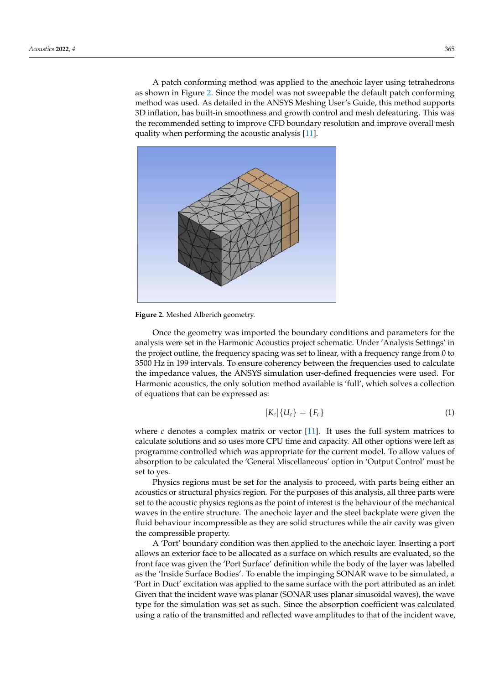A patch conforming method was applied to the anechoic layer using tetrahedrons as shown in Figure [2.](#page-3-0) Since the model was not sweepable the default patch conforming shown in Figure 2. Since the model was not sweepable the default patch conforming method was used. As detailed in the ANSYS Meshing User's Guide, this method supports method was used. As detailed in the ANSYS Meshing User's Guide, this method supports 3D inflation, has built-in smoothness and growth control and mesh defeaturing. This was 3D inflation, has built-in smoothness and growth control and mesh defeaturing. This was the recommended setting to improve CFD boundary resolution and improve overall mesh the recommended setting to improve CFD boundary resolution and improve overall mesh quality when performing the acoustic analysis [\[11\]](#page-19-10). quality when performing the acoustic analysis [11].

greater than that of the geometry. The geometry, using the same value as the same value as the anechoic layer

<span id="page-3-0"></span>

**Figure 2.** Meshed Alberich geometry. **Figure 2.** Meshed Alberich geometry.

Once the geometry was imported the boundary conditions and parameters for the Once the geometry was imported the boundary conditions and parameters for the analysis were set in the Harmonic Acoustics project schematic. Under 'Analysis Settings' analysis were set in the Harmonic Acoustics project schematic. Under 'Analysis Settings' in the project outline, the frequency spacing was set to linear, with a frequency range from 0 to 3500 Hz in 199 intervals. To ensure coherency between the frequencies used to calculate the impedance values, the ANSYS simulation user-defined frequencies were used. For Harmonic acoustics, the only solution method available is 'full', which solves a collection Harmonic acoustics, the only solution method available is 'full', which solves a collection of equations that can be expressed as: of equations that can be expressed as:

$$
[K_c]\{U_c\} = \{F_c\} \tag{1}
$$

where  $c$  denotes a complex matrix or vector  $[11]$ . It uses the full system matrices to culate solutions and so uses more CPU time and capacity. All other options were left as calculate solutions and so uses more CPU time and capacity. All other options were left as programme controlled which was appropriate for the current model. To allow values of programme controlled which was appropriate for the current model. To allow values of absorption to be calculated the 'General Miscellaneous' option in 'Output Control' must absorption to be calculated the 'General Miscellaneous' option in 'Output Control' must be set to yes.

Physics regions must be set for the analysis to proceed, with parts being either an Physics regions must be set for the analysis to proceed, with parts being either an acoustics or structural physics region. For the purposes of this analysis, all three parts acoustics or structural physics region. For the purposes of this analysis, all three parts were set to the acoustic physics regions as the point of interest is the behaviour of the mechanical waves in the entire structure. The anechoic layer and the steel backplate were given the fluid behaviour incompressible as they are solid structures while the air cavity was given the compressible property.

A 'Port' boundary condition was then applied to the anechoic layer. Inserting a port A 'Port' boundary condition was then applied to the anechoic layer. Inserting a port allows an exterior face to be allocated as a surface on which results are evaluated, so the allows an exterior face to be allocated as a surface on which results are evaluated, so the front face was given the 'Port Surface' definition while the body of the layer was labelled front face was given the 'Port Surface' definition while the body of the layer was labelled as the 'Inside Surface Bodies'. To enable the impinging SONAR wave to be simulated, a as the 'Inside Surface Bodies'. To enable the impinging SONAR wave to be simulated, a 'Port in Duct' excitation was applied to the same surface with the port attributed as an 'Port in Duct' excitation was applied to the same surface with the port attributed as an inlet. Given that the incident wave was planar (SONAR uses planar sinusoidal waves), the wave type for the simulation was set as such. Since the absorption coefficient was calculated using a ratio of the transmitted and reflected wave amplitudes to that of the incident wave,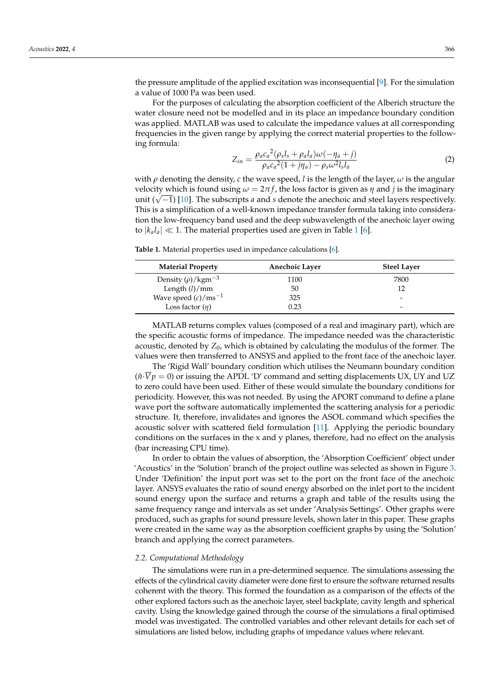the pressure amplitude of the applied excitation was inconsequential [\[9\]](#page-19-8). For the simulation a value of 1000 Pa was been used.

For the purposes of calculating the absorption coefficient of the Alberich structure the water closure need not be modelled and in its place an impedance boundary condition was applied. MATLAB was used to calculate the impedance values at all corresponding frequencies in the given range by applying the correct material properties to the following formula:

$$
Z_{in} = \frac{\rho_a c_a^2 (\rho_s l_s + \rho_a l_a) \omega (-\eta_a + j)}{\rho_a c_a^2 (1 + j\eta_a) - \rho_s \omega^2 l_s l_a}
$$
(2)

with  $\rho$  denoting the density, *c* the wave speed, *l* is the length of the layer,  $\omega$  is the angular velocity which is found using  $\omega = 2\pi f$ , the loss factor is given as  $\eta$  and *j* is the imaginary velocity which is found using  $ω = χnJ$ , the loss factor is given as  $η$  and  $j$  is the imaginary<br>unit ( $\sqrt{-1}$ ) [\[10\]](#page-19-9). The subscripts *a* and *s* denote the anechoic and steel layers respectively. This is a simplification of a well-known impedance transfer formula taking into consideration the low-frequency band used and the deep subwavelength of the anechoic layer owing to  $|k_a l_a| \ll 1$  $|k_a l_a| \ll 1$ . The material properties used are given in Table 1 [\[6\]](#page-19-5).

<span id="page-4-0"></span>**Table 1.** Material properties used in impedance calculations [\[6\]](#page-19-5).

| <b>Material Property</b>         | <b>Anechoic Layer</b> | <b>Steel Layer</b>       |
|----------------------------------|-----------------------|--------------------------|
| Density $(\rho)/\text{kgm}^{-3}$ | 1100                  | 7800                     |
| Length $(l)/mm$                  | 50                    | 12                       |
| Wave speed $(c)/ms^{-1}$         | 325                   | $\overline{\phantom{a}}$ |
| Loss factor $(\eta)$             | 0.23                  | $\overline{\phantom{0}}$ |

MATLAB returns complex values (composed of a real and imaginary part), which are the specific acoustic forms of impedance. The impedance needed was the characteristic acoustic, denoted by *Z*0, which is obtained by calculating the modulus of the former. The values were then transferred to ANSYS and applied to the front face of the anechoic layer.

The 'Rigid Wall' boundary condition which utilises the Neumann boundary condition  $(\hat{n} \cdot \overline{V} p = 0)$  or issuing the APDL 'D' command and setting displacements UX, UY and UZ to zero could have been used. Either of these would simulate the boundary conditions for periodicity. However, this was not needed. By using the APORT command to define a plane wave port the software automatically implemented the scattering analysis for a periodic structure. It, therefore, invalidates and ignores the ASOL command which specifies the acoustic solver with scattered field formulation [\[11\]](#page-19-10). Applying the periodic boundary conditions on the surfaces in the x and y planes, therefore, had no effect on the analysis (bar increasing CPU time).

In order to obtain the values of absorption, the 'Absorption Coefficient' object under 'Acoustics' in the 'Solution' branch of the project outline was selected as shown in Figure [3.](#page-5-0) Under 'Definition' the input port was set to the port on the front face of the anechoic layer. ANSYS evaluates the ratio of sound energy absorbed on the inlet port to the incident sound energy upon the surface and returns a graph and table of the results using the same frequency range and intervals as set under 'Analysis Settings'. Other graphs were produced, such as graphs for sound pressure levels, shown later in this paper. These graphs were created in the same way as the absorption coefficient graphs by using the 'Solution' branch and applying the correct parameters.

### *2.2. Computational Methodology*

The simulations were run in a pre-determined sequence. The simulations assessing the effects of the cylindrical cavity diameter were done first to ensure the software returned results coherent with the theory. This formed the foundation as a comparison of the effects of the other explored factors such as the anechoic layer, steel backplate, cavity length and spherical cavity. Using the knowledge gained through the course of the simulations a final optimised model was investigated. The controlled variables and other relevant details for each set of simulations are listed below, including graphs of impedance values where relevant.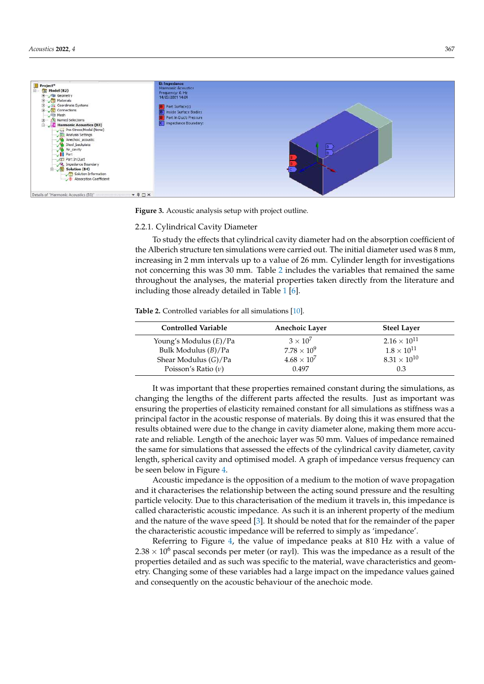<span id="page-5-0"></span>

**Figure 3.** Acoustic analysis setup with project outline. **Figure 3.** Acoustic analysis setup with project outline.

## <span id="page-5-2"></span>*2.2. Computational Methodology* 2.2.1. Cylindrical Cavity Diameter

To study the effects that cylindrical cavity diameter had on the absorption coefficient of the Alberich structure ten simulations were carried out. The initial diameter used was  $8$  mm,  $\,$ increasing in 2 mm intervals up to a value of 26 mm. Cylinder length for investigations not concerning this was 30 mm. Table 2 includes the variables that remained the same throughout the analyses, the material properties taken directly from the literature and including those already detailed in Table 1 [\[6\]](#page-19-5).  $\,$ 

<span id="page-5-1"></span>**Table 2.** Controlled variables for all simulations [\[10\]](#page-19-9).

| <b>Controlled Variable</b> | <b>Anechoic Layer</b> | <b>Steel Layer</b>    |
|----------------------------|-----------------------|-----------------------|
| Young's Modulus (E)/Pa     | $3 \times 10^7$       | $2.16 \times 10^{11}$ |
| Bulk Modulus $(B)/Pa$      | $7.78 \times 10^{9}$  | $1.8 \times 10^{11}$  |
| Shear Modulus $(G)/Pa$     | $4.68 \times 10^{7}$  | $8.31 \times 10^{10}$ |
| Poisson's Ratio $(v)$      | 0.497                 | 0.3                   |

It was important that these properties remained constant during the simulations, as changing the lengths of the different parts affected the results. Just as important was principal factor in the acoustic response of materials. By doing this it was ensured that the **Controlled Variable Anechoic Layer Steel Layer** rate and reliable. Length of the anechoic layer was 50 mm. Values of impedance remained Find the same for simulations that assessed the effects of the cylindrical cavity diameter, cavity the same for simulations that assessed the effects of the cylindrical cavity diameter, cavity length, spherical cavity and optimised model. A graph of impedance versus frequency can<br>length, spherical cavity and optimised model. A graph of impedance versus frequency can  $\frac{36.6}{10.68}$  be seen below in Figure [4.](#page-6-0) ensuring the properties of elasticity remained constant for all simulations as stiffness was a results obtained were due to the change in cavity diameter alone, making them more accu-

Acoustic impedance is the opposition of a medium to the motion of wave propagation particle velocity. Due to this characterisation of the medium it travels in, this impedance is called characteristic acoustic impedance. As such it is an inherent property of the medium and the nature of the wave speed [3]. It should be noted that for the [re](#page-19-2)mainder of the paper the characteristic acoustic impedance will be referred to simply as 'impedance'. and it characterises the relationship between the acting sound pressure and the resulting

Referring to Figure 4, the value of impedance peaks at 810 Hz with a value of 2.38  $\times$  10<sup>6</sup> pascal seconds per meter (or rayl). This was the impedance as a result of the properties detailed and as such was specific to the material, wave characteristics and geometry. Changing some of these variables had a large impact on the impedance values gained and consequently on the acoustic behaviour of the anechoic mode.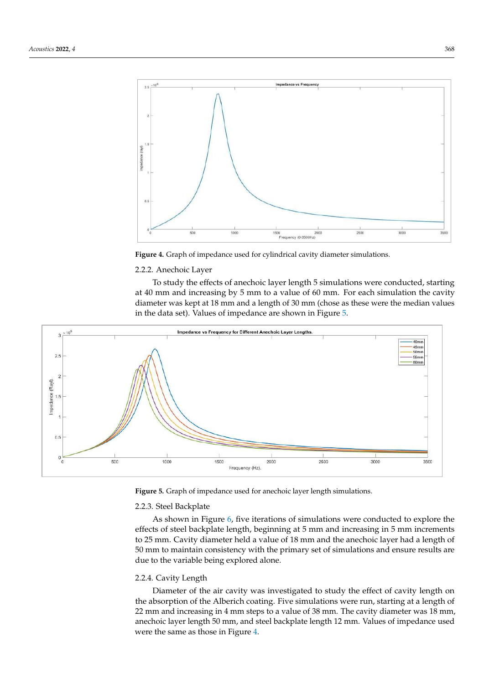<span id="page-6-0"></span>

**Figure 4.** Graph of impedance used for cylindrical cavity diameter simulations. **Figure 4.** Graph of impedance used for cylindrical cavity diameter simulations.

## <span id="page-6-1"></span>2.2.2. Anechoic Layer

To study the effects of anechoic layer length 5 simulations were conducted, starting at 40 mm and increasing by 5 mm to a value of 60 mm. For each simulation the cavity pedance is called characteristic acoustic acoustic impedance. As such it is an interesting  $\frac{10}{2}$  mm  $\frac{1}{2}$  mm  $\frac{1}{2}$  mm  $\frac{1}{2}$  mm  $\frac{1}{2}$  mm  $\frac{1}{2}$  mm  $\frac{1}{2}$  mm  $\frac{1}{2}$  mm  $\frac{1}{2}$  mm  $\frac{1}{2}$  mm diameter was kept at 18 mm and a length of 30 mm (chose as these were the median values<br>in the remainder that for the chosen were the median values in the data set). Values of impedance are shown in Figure [5.](#page-6-1)



**Figure 5.** Graph of impedance used for anechoic layer length simulations. **Figure 5.** Graph of impedance used for anechoic layer length simulations.

## 2.2.3. Steel Backplate 2.2.3. Steel Backplate

As shown in Figure 6, five iterations of simulations were conducted to explore the As shown in Figure [6,](#page-7-0) five iterations of simulations were conducted to explore the effects of steel backplate length, beginning at 5 mm and increasing in 5 mm increments to 25 mm. Cavity diameter held a value of 18 mm and the anechoic layer had a length of mm to maintain consistency with the primary set of simulations and ensure results are 50 mm to maintain consistency with the primary set of simulations and ensure results are due to the variable being explored alone. due to the variable being explored alone.

### 2.2.4. Cavity Length

Diameter of the air cavity was investigated to study the effect of cavity length on the absorption of the Alberich coating. Five simulations were run, starting at a length of 22 mm and increasing in 4 mm steps to a value of 38 mm. The cavity diameter was 18 mm, anechoic layer length 50 mm, and steel backplate length 12 mm. Values of impedance used were the same as those in Figure [4.](#page-6-0)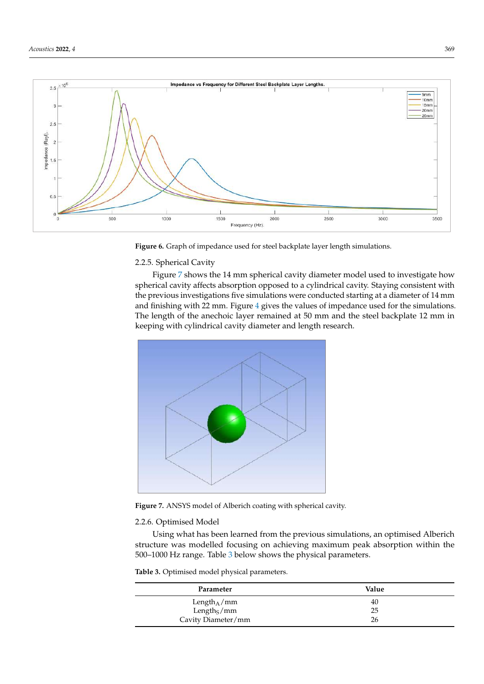<span id="page-7-0"></span>

**Figure 6.** Graph of impedance used for steel backplate layer length simulations. **Figure 6.** Graph of impedance used for steel backplate layer length simulations.

## 2.2.5. Spherical Cavity

Figure 7 shows the 14 mm spherical cavity diame[ter](#page-7-1) model used to investigate how spherical cavity affects absorption opposed to a cylindrical cavity. Staying consistent with the previous investigations five simulations were conducted starting at a diameter of 14 mm and finishing with 22 mm. Figure 4 gives the values of impedance used for the simulations. The length of the anechoic layer remained at 50 mm and the steel backplate 12 mm in keeping with cylindrical cavity diameter and length research. 12 mm in keeping with cylindrical cavity diameter and length research.

<span id="page-7-1"></span>

**Figure 7.** ANSYS model of Alberich coating with spherical cavity. **Figure 7.** ANSYS model of Alberich coating with spherical cavity.

## <span id="page-7-3"></span>2.2.6. Optimised Model 2.2.6. Optimised Model

Using what has been learned from the previous simulations, an optimised Alberich Using what has been learned from the previous simulations, an optimised Alberich structure was modelled focusing on achieving maximum peak absorption within the 1000 Hz range. Table 3 b[elo](#page-7-2)w shows the physical parameters. 500–1000 Hz range. Table 3 below shows the physical parameters.

<span id="page-7-2"></span>**Table 3.** Optimised model physical parameters. **Table 3.** Optimised model physical parameters.

| Value |  |
|-------|--|
| 40    |  |
| 25    |  |
| 26    |  |
|       |  |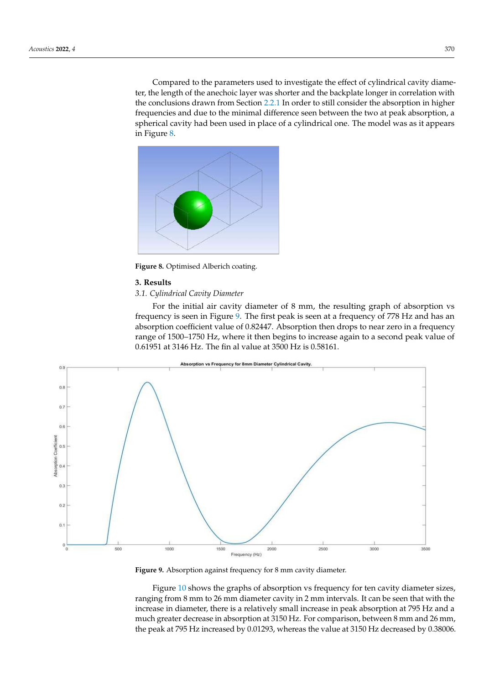<span id="page-8-0"></span>Compared to the parameters used to investigate the effect of cylindrical cavity diameter, the length of the anechoic layer was shorter and the backplate longer in correlation with the conclusions drawn from Section [2.2.1](#page-5-2) In order to still consider the absorption in higher frequencies and due to the minimal difference seen between the two at peak absorption, a spherical cavity had been used in place of a cylindrical one. The model was as it appears  $\overline{\text{in}}$  Figure [8.](#page-8-0)

Cavity Diameter/mm 26



**Figure 8. Figure 8.**  Optimised Alberich coating. Optimised Alberich coating.

## **3. Results 3. Results**

# <span id="page-8-2"></span>*3.1. Cylindrical Cavity Diameter 3.1. Cylindrical Cavity Diameter*

<span id="page-8-1"></span>For the initial air cavity diameter of 8 mm, the resulting graph of absorption vs For the initial air cavity diameter of 8 mm, the resulting graph of absorption vs fre-frequency is seen in Figure 9[. T](#page-8-1)he first peak is seen at a frequency of 778 Hz and has an absorption coefficient value of 0.82447. Absorption then drops to near zero in a frequency absorption coefficient value of 0.82447. Absorption then drops to near zero in a frequency range of 1500–1750 Hz, where it then begins to increase again to a second peak value of 0.61951 at 3146 Hz. The fin al value at 3500 Hz is 0.58161. 0.61951 at 3146 Hz. The fin al value at 3500 Hz is 0.58161.



**Figure 9.** Absorption against frequency for 8 mm cavity diameter. **Figure 9.** Absorption against frequency for 8 mm cavity diameter.

Figure [10](#page-9-0) shows the graphs of absorption vs frequency for ten cavity diameter sizes, ranging from 8 mm to 26 mm diameter cavity in 2 mm intervals. It can be seen that with ranging from 8 mm to 26 mm diameter cavity in 2 mm intervals. It can be seen that with the the increase in diameter, there is a relatively small increase in peak absorption at 795 Hz increase in diameter, there is a relatively small increase in peak absorption at 795 Hz and a and a much greater decrease in a much greater decrease in a much greater decrease in  $3 \times 10^{-1}$ much greater decrease in absorption at 3150 Hz. For comparison, between 8 mm and 26 mm,<br>deed to 2002 for the value at 3150 Hz decreased in a 2002 for the value at 2003 for the value of 2003 for the the peak at 795 Hz increased by 0.01293, whereas the value at 3150 Hz decreased by 0.38006.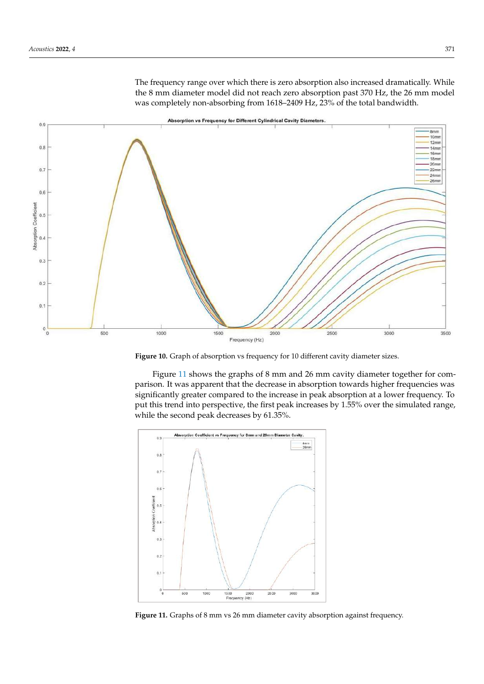<span id="page-9-0"></span>The frequency range over which there is zero absorption also increased dramatically. While the 8 mm diameter model did not reach zero absorption past 370 Hz, the 26 mm model was completely non-absorbing from 1618–2409 Hz, 23% of the total bandwidth.



**Figure 10.** Graph of absorption vs frequency for 10 different cavity diameter sizes. **Figure 10.** Graph of absorption vs frequency for 10 different cavity diameter sizes.

Figure [11](#page-9-1) shows the graphs of 8 mm and 26 mm cavity diameter together for com-Figure 11 shows the graphs of 8 mm and 26 mm cavity diameter together for comparison. It was apparent that the decrease in absorption towards higher frequencies was parison. It was apparent that the decrease in absorption towards higher frequencies was significantly greater compared to the increase in peak absorption at a lower frequency. To put this trend into perspective, the first peak increases by 1.55% over the simulated range, put this trend into perspective, the first peak increases by 1.55% over the simulated range, while the second peak decreases by 61.35%. while the second peak decreases by 61.35%. Figure 11 shows the graphs of 8 mm and 26 mm cavity diameter together for compart in shows the graphs of  $\sigma$  min and 20 min cavity diameter together for com-

<span id="page-9-1"></span>

*3.2. Anechoic Layer* **Figure 11.** Graphs of 8 mm vs 26 mm diameter cavity absorption against frequency. **Figure 11.** Graphs of 8 mm vs 26 mm diameter cavity absorption against frequency.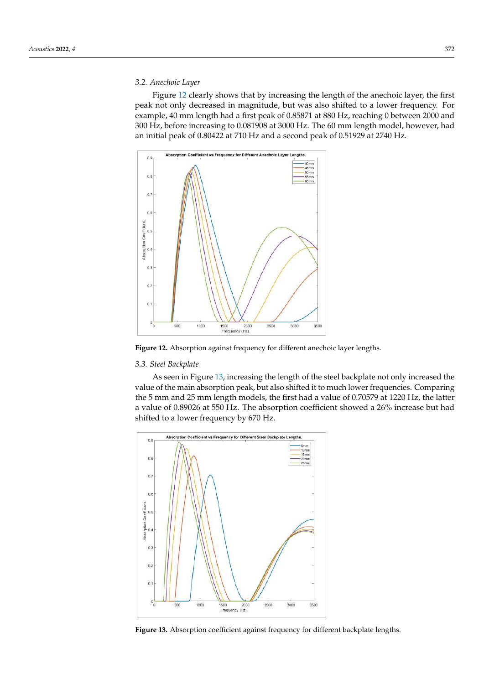### <span id="page-10-3"></span>*3.2. Anechoic Layer*

Figure [12](#page-10-0) clearly shows that by increasing the length of the anechoic layer, the first peak not only decreased in magnitude, but was also shifted to a lower frequency. For example, 40 mm length had a first peak of 0.85871 at 880 Hz, reaching 0 between 2000 and 300 Hz, before increasing to 0.081908 at 3000 Hz. The 60 mm length model, however, had an initial peak of 0.80422 at 710 Hz and a second peak of 0.51929 at 2740 Hz.

<span id="page-10-0"></span>

Figure 12. Absorption against frequency for different anechoic layer lengths.

## <span id="page-10-2"></span>*3.3. Steel Backplate 3.3. Steel Backplate 3.3. Steel Backplate*

As seen in Figure [13,](#page-10-1) increasing the length of the steel backplate not only increased the value of the main absorption peak, but also shifted it to much lower frequencies. Comparing the 5 mm and 25 mm length models, the first had a value of 0.70579 at 1220 Hz, the latter a value of 0.89026 at 550 Hz. The absorption coefficient showed a 26% increase but had shifted to a lower frequency by 670 Hz.

<span id="page-10-1"></span>

Figure 13. Absorption coefficient against frequency for different backplate lengths.<br>
<br>
Figure 13. Absorption coefficient against frequency for different backplate lengths.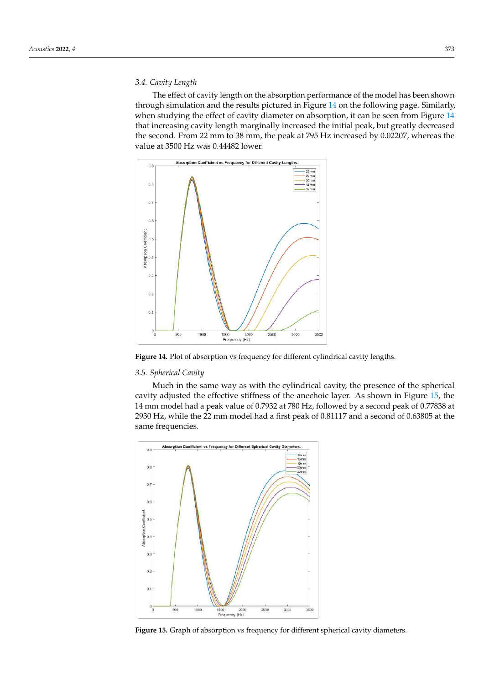# <span id="page-11-2"></span>*3.4. Cavity Length*

The effect of cavity length on the absorption performance of the model has been shown through simulation and the results pictured in Figure [14](#page-11-0) on the following page. Similarly, when studying the effect of cavity diameter on absorption, it can be seen from Figure [14](#page-11-0) that increasing cavity length marginally increased the initial peak, but greatly decreased the second. From 22 mm to 38 mm, the peak at 795 Hz increased by 0.02207, whereas the value at 3500 Hz was 0.44482 lower.

<span id="page-11-0"></span>

Figure 14. Plot of absorption vs frequency for different cylindrical cavity lengths. cavity stiffness of the anechoic layer. As shown in Figure 15, the 14, the 14, the 14, the 14, the 14, the 14, the 14, the 14, the 14, the 14, the 14, the 14, the 14, the 14, the 14, the 14, the 14, the 14, the 14, the 14

## *3.5. Spherical Cavity*

Much in the same way as with the cylindrical cavity, the presence of the spherical cavity adjusted the effective stiffness of the anechoic layer. As shown in Figure 15, the 14 mm model had a peak value of 0.7932 at 780 Hz, followed by a second peak of 0.77838 at 2930 Hz, while the 22 mm model had a first peak of 0.81117 and a second of 0.63805 at the same frequencies.

<span id="page-11-1"></span>

Figure 15. Graph of absorption vs frequency for different spherical cavity diameters.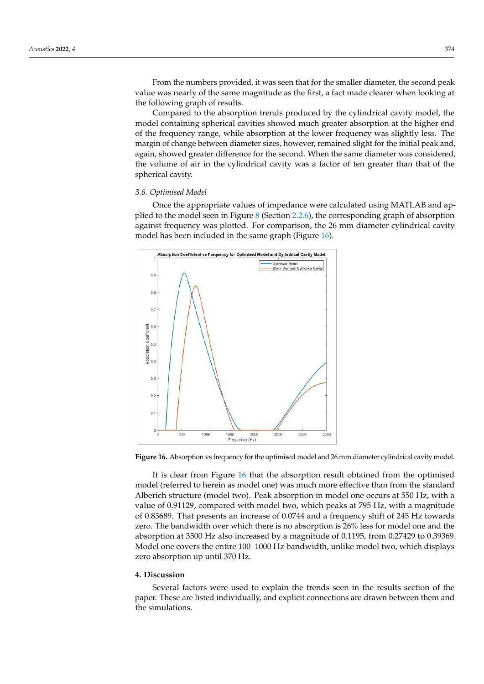From the numbers provided, it was seen that for the smaller diameter, the second peak value was nearly of the same magnitude as the first, a fact made clearer when looking at the following graph of results.

Compared to the absorption trends produced by the cylindrical cavity model, the Compared to the absorption trends produced by the cylindrical cavity model, the model containing spherical cavities showed much greater absorption at the higher end<br>the frequency was slightly less. The marof the frequency range, while absorption at the lower frequency was slightly less. The<br>gines in of change between diameter sizes, however, remained slight for the initial peak and, margin of change between diameter sizes, however, remained slight for the initial peak and,<br>again, showed greater difference for the second. When the same diameter was considered. again, showed greater difference for the second. When the same diameter was considered, the volume of air in the cylindrical cavity was a factor of ten greater than that of the sphereence volume of  $\zeta$ <br>spherical cavity. compared to the absorption dents produced by the cymiunical cavity model, the

# <span id="page-12-1"></span>*3.6. Optimised Model 3.6. Optimised Model*

Once the appropriate values of impedance were calculated using MATLAB and ap-Once the appropriate values of impedance were calculated using MATLAB and applied to the model seen in Figure 8 (Section [2.2.6\)](#page-7-3), the corresponding graph of absorption plied to the model seen in Figur[e 8](#page-8-0) (Section 2.2.6), the corresponding graph of absorption against frequency was plotted. For comparison, the 26 mm diameter cylindrical cavity against frequency was plotted. For comparison, the 26 mm diameter cylindrical cavity model has been included in the same graph (Figure [16\)](#page-12-0). model has been included in the same graph (Figure 16).

<span id="page-12-0"></span>

**Figure 16.** Absorption vs frequency for the optimised model and 26 mm diameter cylindrical cavity **Figure 16.** Absorption vs frequency for the optimised model and 26 mm diameter cylindrical cavity model.

model (referred to herein as model one) was much more effective than from the standard Alberich structure (model two). Peak absorption in model one occurs at 550 Hz, with a value of 0.91129, compared with model two, which peaks at 795 Hz, with a magnitude of 0.83689. That presents an increase of 0.0744 and a frequency shift of 245 Hz towards zero. The bandwidth over which there is no absorption is 26% less for model one and the absorption at 3500 Hz also increased by a magnitude of 0.1195, from 0.27429 to 0.39369. Model one covers the entire 100–1000 Hz bandwidth, unlike model two, which displays zero absorption up until 370 Hz. It is clear from Figure [16](#page-12-0) that the absorption result obtained from the optimised

#### $\mathbf{z}$ **4. Discussion**

Several factors were used to explain the trends seen in the results section of the paper. These are listed individually, and explicit connections are drawn between them and<br>. The situations. the simulations.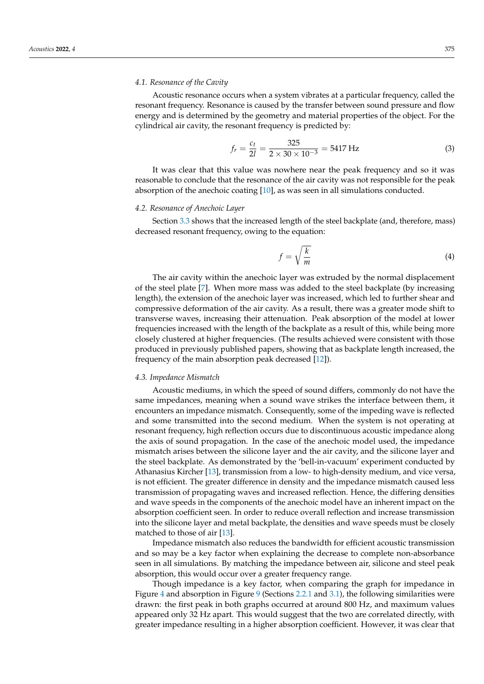### *4.1. Resonance of the Cavity*

Acoustic resonance occurs when a system vibrates at a particular frequency, called the resonant frequency. Resonance is caused by the transfer between sound pressure and flow energy and is determined by the geometry and material properties of the object. For the cylindrical air cavity, the resonant frequency is predicted by:

$$
f_r = \frac{c_t}{2l} = \frac{325}{2 \times 30 \times 10^{-3}} = 5417 \text{ Hz}
$$
 (3)

It was clear that this value was nowhere near the peak frequency and so it was reasonable to conclude that the resonance of the air cavity was not responsible for the peak absorption of the anechoic coating [\[10\]](#page-19-9), as was seen in all simulations conducted.

### *4.2. Resonance of Anechoic Layer*

Section [3.3](#page-10-2) shows that the increased length of the steel backplate (and, therefore, mass) decreased resonant frequency, owing to the equation:

$$
f = \sqrt{\frac{k}{m}}\tag{4}
$$

The air cavity within the anechoic layer was extruded by the normal displacement of the steel plate [\[7\]](#page-19-6). When more mass was added to the steel backplate (by increasing length), the extension of the anechoic layer was increased, which led to further shear and compressive deformation of the air cavity. As a result, there was a greater mode shift to transverse waves, increasing their attenuation. Peak absorption of the model at lower frequencies increased with the length of the backplate as a result of this, while being more closely clustered at higher frequencies. (The results achieved were consistent with those produced in previously published papers, showing that as backplate length increased, the frequency of the main absorption peak decreased [\[12\]](#page-19-11)).

### *4.3. Impedance Mismatch*

Acoustic mediums, in which the speed of sound differs, commonly do not have the same impedances, meaning when a sound wave strikes the interface between them, it encounters an impedance mismatch. Consequently, some of the impeding wave is reflected and some transmitted into the second medium. When the system is not operating at resonant frequency, high reflection occurs due to discontinuous acoustic impedance along the axis of sound propagation. In the case of the anechoic model used, the impedance mismatch arises between the silicone layer and the air cavity, and the silicone layer and the steel backplate. As demonstrated by the 'bell-in-vacuum' experiment conducted by Athanasius Kircher [\[13\]](#page-19-12), transmission from a low- to high-density medium, and vice versa, is not efficient. The greater difference in density and the impedance mismatch caused less transmission of propagating waves and increased reflection. Hence, the differing densities and wave speeds in the components of the anechoic model have an inherent impact on the absorption coefficient seen. In order to reduce overall reflection and increase transmission into the silicone layer and metal backplate, the densities and wave speeds must be closely matched to those of air [\[13\]](#page-19-12).

Impedance mismatch also reduces the bandwidth for efficient acoustic transmission and so may be a key factor when explaining the decrease to complete non-absorbance seen in all simulations. By matching the impedance between air, silicone and steel peak absorption, this would occur over a greater frequency range.

Though impedance is a key factor, when comparing the graph for impedance in Figure [4](#page-6-0) and absorption in Figure [9](#page-8-1) (Sections [2.2.1](#page-5-2) and [3.1\)](#page-8-2), the following similarities were drawn: the first peak in both graphs occurred at around 800 Hz, and maximum values appeared only 32 Hz apart. This would suggest that the two are correlated directly, with greater impedance resulting in a higher absorption coefficient. However, it was clear that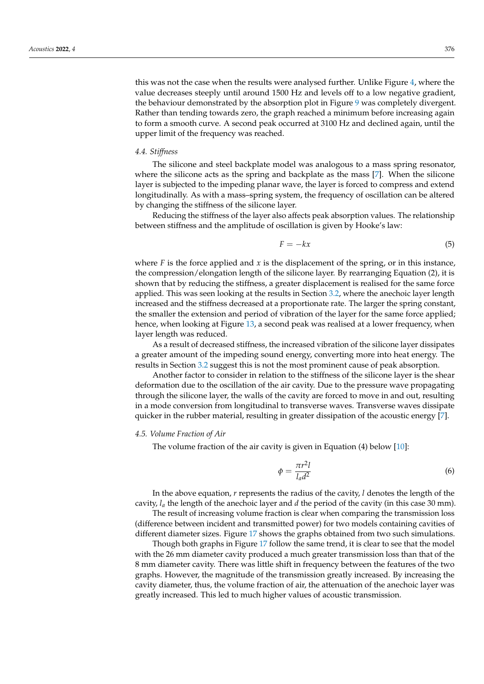this was not the case when the results were analysed further. Unlike Figure [4,](#page-6-0) where the value decreases steeply until around 1500 Hz and levels off to a low negative gradient, the behaviour demonstrated by the absorption plot in Figure [9](#page-8-1) was completely divergent. Rather than tending towards zero, the graph reached a minimum before increasing again to form a smooth curve. A second peak occurred at 3100 Hz and declined again, until the upper limit of the frequency was reached.

### <span id="page-14-0"></span>*4.4. Stiffness*

The silicone and steel backplate model was analogous to a mass spring resonator, where the silicone acts as the spring and backplate as the mass [\[7\]](#page-19-6). When the silicone layer is subjected to the impeding planar wave, the layer is forced to compress and extend longitudinally. As with a mass–spring system, the frequency of oscillation can be altered by changing the stiffness of the silicone layer.

Reducing the stiffness of the layer also affects peak absorption values. The relationship between stiffness and the amplitude of oscillation is given by Hooke's law:

$$
F = -kx \tag{5}
$$

where  $F$  is the force applied and  $x$  is the displacement of the spring, or in this instance, the compression/elongation length of the silicone layer. By rearranging Equation (2), it is shown that by reducing the stiffness, a greater displacement is realised for the same force applied. This was seen looking at the results in Section [3.2,](#page-10-3) where the anechoic layer length increased and the stiffness decreased at a proportionate rate. The larger the spring constant, the smaller the extension and period of vibration of the layer for the same force applied; hence, when looking at Figure [13,](#page-10-1) a second peak was realised at a lower frequency, when layer length was reduced.

As a result of decreased stiffness, the increased vibration of the silicone layer dissipates a greater amount of the impeding sound energy, converting more into heat energy. The results in Section [3.2](#page-10-3) suggest this is not the most prominent cause of peak absorption.

Another factor to consider in relation to the stiffness of the silicone layer is the shear deformation due to the oscillation of the air cavity. Due to the pressure wave propagating through the silicone layer, the walls of the cavity are forced to move in and out, resulting in a mode conversion from longitudinal to transverse waves. Transverse waves dissipate quicker in the rubber material, resulting in greater dissipation of the acoustic energy [\[7\]](#page-19-6).

### *4.5. Volume Fraction of Air*

The volume fraction of the air cavity is given in Equation (4) below [\[10\]](#page-19-9):

$$
\phi = \frac{\pi r^2 l}{l_a d^2} \tag{6}
$$

In the above equation, *r* represents the radius of the cavity, *l* denotes the length of the cavity, *l<sup>a</sup>* the length of the anechoic layer and *d* the period of the cavity (in this case 30 mm).

The result of increasing volume fraction is clear when comparing the transmission loss (difference between incident and transmitted power) for two models containing cavities of different diameter sizes. Figure [17](#page-15-0) shows the graphs obtained from two such simulations.

Though both graphs in Figure [17](#page-15-0) follow the same trend, it is clear to see that the model with the 26 mm diameter cavity produced a much greater transmission loss than that of the 8 mm diameter cavity. There was little shift in frequency between the features of the two graphs. However, the magnitude of the transmission greatly increased. By increasing the cavity diameter, thus, the volume fraction of air, the attenuation of the anechoic layer was greatly increased. This led to much higher values of acoustic transmission.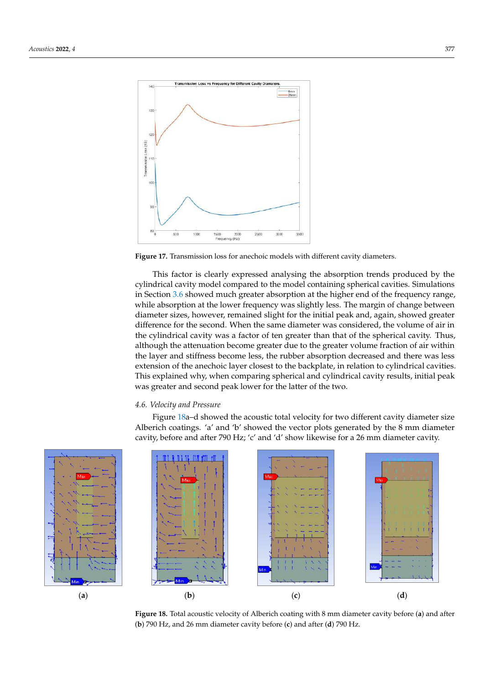<span id="page-15-0"></span>

**Figure 17.** Transmission loss for anechoic models with different cavity diameters. **Figure 17.** Transmission loss for anechoic models with different cavity diameters. This factor is clearly expressed analysing the absorption trends produced by the absorption trends produced by the cy---

This factor is clearly expressed analysing the absorption trends produced by the cylindrical cavity model compared to the model containing spherical cavities. Simulations in Sectio[n 3.6](#page-12-1) showed much greater absorption at the higher end of the frequency range, while absorption at the lower frequency was slightly less. The margin of change between diameter sizes, however, remained slight for the initial peak and, again, showed greater difference for the second. When the same diameter was considered, the volume of air in the cylindrical cavity was a factor of ten greater than that of the spherical cavity. Thus, although the attenuation become greater due to the greater volume fraction of air within the layer and stiffness become less, the rubber absorption decreased and there was less extension of the anechoic layer closest to the backplate, in relation to cylindrical cavities. This explained why, when comparing spherical and cylindrical cavity results, initial peak was greater and second peak lower for the latter of the two. was greater and second peak lower for the latter of the two.

## *4.6. Velocity and Pressure 4.6. Velocity and Pressure 4.6. Velocity and Pressure*

<span id="page-15-1"></span>Alberich coatings. 'a' and 'b' showed the vector plots generated by the 8 mm diameter  $\Delta$  and  $\Delta$  and  $\Delta$  and  $\Delta$  and  $\Delta'$  and ' $\Delta'$  show due vector plots generated by the state  $\Delta$  mm diameter continuous cavity, before and after 790 Hz; 'c' and 'd' show likewise for a 26 mm diameter cavity. cavity, before and after 790 Hz; 'c' and 'd' show likewise for a 26 mm diameter cavity. Figure [18a](#page-15-1)–d showed the acoustic total velocity for two different cavity diameter size Figure 18a–d showed the acoustic total velocity for two different cavity diameter size Figure To a showed the acoustic total velocity for two different cavity diameter size







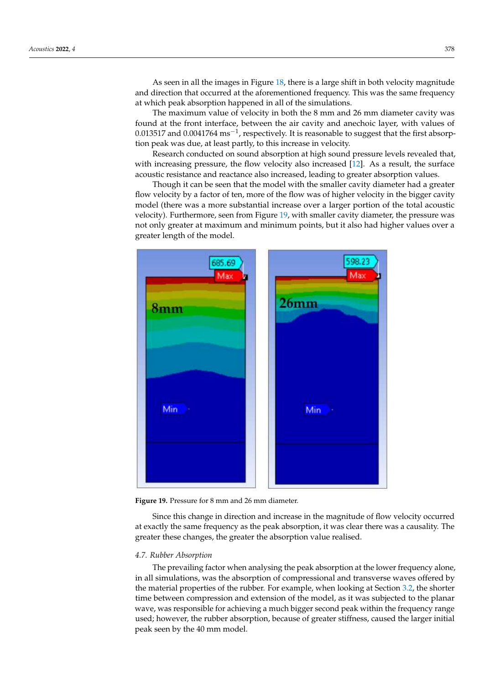As seen in all the images in Figure  $18$ , there is a large shift in [bot](#page-15-1)h velocity magnitude and direction that occurred at the aforementioned frequency. This was the same frequency at which peak absorption happened in all of the simulations.

As seen in all the images in Figure 18, there is a large shift in both velocity magnitude

The maximum value of velocity in both the 8 mm and 26 mm diameter cavity was found at the front interface, between the air cavity and anechoic layer, with values of 0.013517 and 0.0041764 ms<sup>-1</sup>, respectively. It is reasonable to suggest that the first absorption peak was due, at least partly, to this increase in velocity.

Research conducted on sound absorption at high sound pressure levels revealed that, with increasing pressure, the flow velocity also increased  $[12]$ . As a result, the surface acoustic resistance and reactance also increased, leading to greater absorption values.

Though it can be seen that the model with the smaller cavity diameter had a greater flow velocity by a factor of ten, more of the flow was of higher velocity in the bigger cavity model (there was a more substantial increase over a larger portion of the total acoustic velocity). Furthermore, seen from Figure 19, with smaller cavity diameter, the pressure was not only greater at maximum and minimum points, but it also had higher values over a greater length of the model. The greater the greater the greater the greater the greater the absorption value  $\eta$ 

<span id="page-16-0"></span>

**Figure 19.** Pressure for 8 mm and 26 mm diameter. **Figure 19.** Pressure for 8 mm and 26 mm diameter.

Since this change in direction and increase in the magnitude of flow velocity occurred  $T_{\rm tot}$  the prevailing factor when  $\frac{1}{2}$  the peak absorption  $\frac{1}{2}$  the peak absorption  $\frac{1}{2}$  the peak absorption  $\frac{1}{2}$  the peak absorption  $\frac{1}{2}$  the peak absorption  $\frac{1}{2}$  the peak absorption  $\frac{1$ greater these changes, the greater the absorption value realised. at exactly the same frequency as the peak absorption, it was clear there was a causality. The

# fered by the material properties of the rubber. For example, when looking at Section 3.2, *4.7. Rubber Absorption*

the shorter time between compression and extension of the model, as it was subjected to The prevailing factor when analysing the peak absorption at the lower frequency alone,<br>i.e. all simulations were the character of communication at the non-non-non-non-non-non-non-nonin all simulations, was the absorption of compressional and transverse waves offered by the material properties of the rubber. For example, when looking at Section [3.2,](#page-10-3) the shorter time between compression and extension of the model, as it was subjected to the planar wave, was responsible for achieving a much bigger second peak within the frequency range used; however, the rubber absorption, because of greater stiffness, caused the larger initial peak seen by the 40 mm model.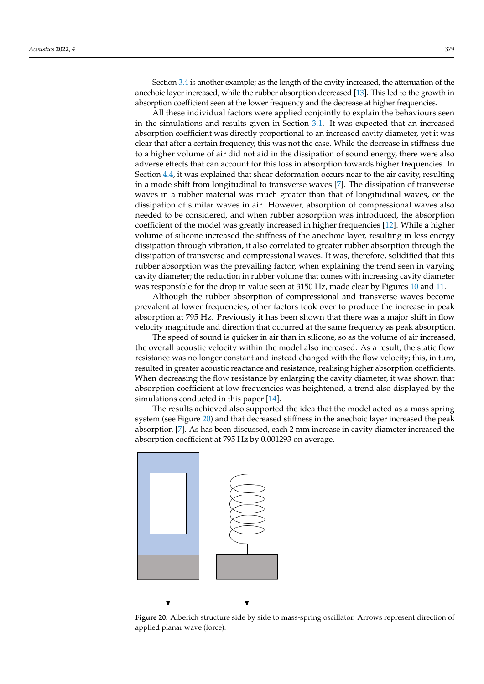Section [3.4](#page-11-2) is another example; as the length of the cavity increased, the attenuation of the anechoic layer increased, while the rubber absorption decreased [\[13\]](#page-19-12). This led to the growth in absorption coefficient seen at the lower frequency and the decrease at higher frequencies.

All these individual factors were applied conjointly to explain the behaviours seen in the simulations and results given in Section [3.1.](#page-8-2) It was expected that an increased absorption coefficient was directly proportional to an increased cavity diameter, yet it was clear that after a certain frequency, this was not the case. While the decrease in stiffness due to a higher volume of air did not aid in the dissipation of sound energy, there were also adverse effects that can account for this loss in absorption towards higher frequencies. In Section [4.4,](#page-14-0) it was explained that shear deformation occurs near to the air cavity, resulting in a mode shift from longitudinal to transverse waves [\[7\]](#page-19-6). The dissipation of transverse waves in a rubber material was much greater than that of longitudinal waves, or the dissipation of similar waves in air. However, absorption of compressional waves also needed to be considered, and when rubber absorption was introduced, the absorption coefficient of the model was greatly increased in higher frequencies [\[12\]](#page-19-11). While a higher volume of silicone increased the stiffness of the anechoic layer, resulting in less energy dissipation through vibration, it also correlated to greater rubber absorption through the dissipation of transverse and compressional waves. It was, therefore, solidified that this rubber absorption was the prevailing factor, when explaining the trend seen in varying cavity diameter; the reduction in rubber volume that comes with increasing cavity diameter was responsible for the drop in value seen at 3150 Hz, made clear by Figures [10](#page-9-0) and [11.](#page-9-1)

Although the rubber absorption of compressional and transverse waves become prevalent at lower frequencies, other factors took over to produce the increase in peak absorption at 795 Hz. Previously it has been shown that there was a major shift in flow velocity magnitude and direction that occurred at the same frequency as peak absorption.

The speed of sound is quicker in air than in silicone, so as the volume of air increased, the overall acoustic velocity within the model also increased. As a result, the static flow resistance was no longer constant and instead changed with the flow velocity; this, in turn, resulted in greater acoustic reactance and resistance, realising higher absorption coefficients. When decreasing the flow resistance by enlarging the cavity diameter, it was shown that absorption coefficient at low frequencies was heightened, a trend also displayed by the simulations conducted in this paper [\[14\]](#page-19-13).

The results achieved also supported the idea that the model acted as a mass spring system (see Figure [20\)](#page-17-0) and that decreased stiffness in the anechoic layer increased the peak absorption [\[7\]](#page-19-6). As has been discussed, each 2 mm increase in cavity diameter increased the absorption coefficient at 795 Hz by 0.001293 on average.

<span id="page-17-0"></span>

**Figure 20.** Alberich structure side by side to mass-spring oscillator. Arrows represent direction of **Figure 20.** Alberich structure side by side to mass-spring oscillator. Arrows represent direction of applied planar wave (force). applied planar wave (force).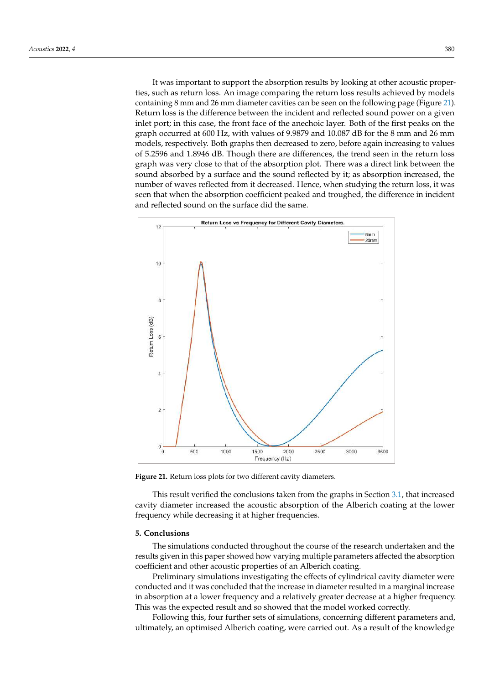It was important to support the absorption results by looking at other acoustic properties, such as return loss. An image comparing the return loss results achieved by models containing 8 mm and 26 mm diameter cavities can be seen on the following page (Figure [21\)](#page-18-0). Return loss is the difference between the incident and reflected sound power on a given inlet port; in this case, the front face of the anechoic layer. Both of the first peaks on the graph occurred at 600 Hz, with values of 9.9879 and 10.087 dB for the 8 mm and 26 mm models, respectively. Both graphs then decreased to zero, before again increasing to values of 5.2596 and 1.8946 dB. Though there are differences, the trend seen in the return loss graph was very close to that of the absorption plot. There was a direct link between the sound absorbed by a surface and the sound reflected by it; as absorption increased, the number of waves reflected from it decreased. Hence, when studying the return loss, it was seen that when the absorption coefficient peaked and troughed, the difference in incident and reflected sound on the surface did the same.

<span id="page-18-0"></span>

**Figure 21.** Return loss plots for two different cavity diameters. **Figure 21.** Return loss plots for two different cavity diameters.

This result verified the conclusions taken from the graphs in Section 3.1, that in-cavity diameter increased the acoustic absorption of the Alberich coating at the lower cavity diameter increased the acoustic absorption of the Albertine coating at the form frequency while decreasing it at higher frequencies. This result verified the conclusions taken from the graphs in Section [3.1,](#page-8-2) that increased

## **5. Conclusions**

The simulations conducted throughout the course of the research undertaken and the results given in this paper showed how varying multiple parameters affected the absorption coefficient and other acoustic properties of an Alberich coating.

Preliminary simulations investigating the effects of cylindrical cavity diameter were conducted and it was concluded that the increase in diameter resulted in a marginal increase in absorption at a lower frequency and a relatively greater decrease at a higher frequency. This was the expected result and so showed that the model worked correctly.

Following this, four further sets of simulations, concerning different parameters and, ultimately, an optimised Alberich coating, were carried out. As a result of the knowledge